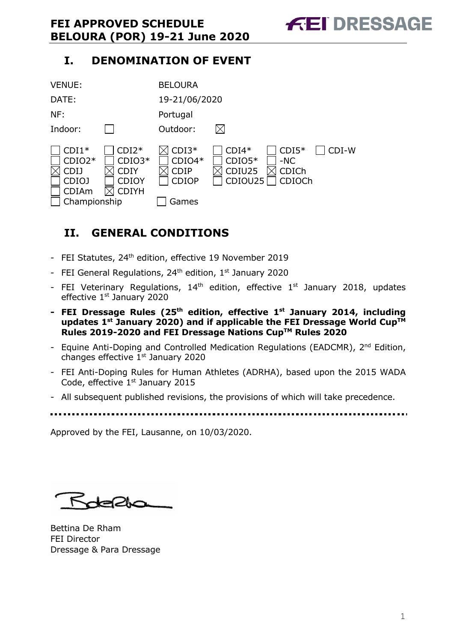# **I. DENOMINATION OF EVENT**

| <b>VENUE:</b>                                                        |                                                                    | <b>BELOURA</b>                                              |                                          |                                            |       |
|----------------------------------------------------------------------|--------------------------------------------------------------------|-------------------------------------------------------------|------------------------------------------|--------------------------------------------|-------|
| DATE:                                                                |                                                                    | 19-21/06/2020                                               |                                          |                                            |       |
| NF:                                                                  |                                                                    | Portugal                                                    |                                          |                                            |       |
| Indoor:                                                              |                                                                    | Outdoor:                                                    |                                          |                                            |       |
| $CDI1*$<br>$CDIO2*$<br>CDIJ<br>CDIOJ<br><b>CDIAm</b><br>Championship | $CDI2*$<br>$CDIO3*$<br><b>CDIY</b><br><b>CDIOY</b><br><b>CDIYH</b> | $CDI3*$<br>$CDIO4*$<br><b>CDIP</b><br><b>CDIOP</b><br>Games | $CDI4*$<br>$CDIO5*$<br>CDIU25<br>CDIOU25 | $CDI5*$<br>$-NC$<br><b>CDICh</b><br>CDIOCh | CDI-W |

# **II. GENERAL CONDITIONS**

- FEI Statutes, 24<sup>th</sup> edition, effective 19 November 2019
- FEI General Regulations,  $24<sup>th</sup>$  edition,  $1<sup>st</sup>$  January 2020
- FEI Veterinary Regulations,  $14<sup>th</sup>$  edition, effective  $1<sup>st</sup>$  January 2018, updates effective 1st January 2020
- **- FEI Dressage Rules (25th edition, effective 1st January 2014, including updates 1st January 2020) and if applicable the FEI Dressage World CupTM Rules 2019-2020 and FEI Dressage Nations CupTM Rules 2020**
- Equine Anti-Doping and Controlled Medication Regulations (EADCMR), 2<sup>nd</sup> Edition, changes effective 1<sup>st</sup> January 2020
- FEI Anti-Doping Rules for Human Athletes (ADRHA), based upon the 2015 WADA Code, effective 1<sup>st</sup> January 2015
- All subsequent published revisions, the provisions of which will take precedence.
- 

Approved by the FEI, Lausanne, on 10/03/2020.

Rotepha

Bettina De Rham FEI Director Dressage & Para Dressage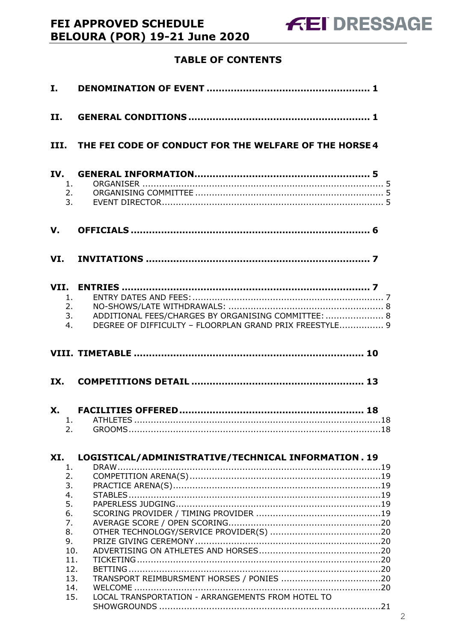# **TABLE OF CONTENTS**

| I.                                                               |                                                                                                                |
|------------------------------------------------------------------|----------------------------------------------------------------------------------------------------------------|
| II.                                                              |                                                                                                                |
| III.                                                             | THE FEI CODE OF CONDUCT FOR THE WELFARE OF THE HORSE 4                                                         |
| IV.<br>1.<br>2.<br>3.                                            |                                                                                                                |
| $\mathbf{V}$ .                                                   |                                                                                                                |
| VI.                                                              |                                                                                                                |
| 1.<br>2.<br>3.<br>4.                                             | ADDITIONAL FEES/CHARGES BY ORGANISING COMMITTEE:  8<br>DEGREE OF DIFFICULTY - FLOORPLAN GRAND PRIX FREESTYLE 9 |
|                                                                  |                                                                                                                |
| IX.                                                              |                                                                                                                |
| 2.                                                               |                                                                                                                |
| XI.<br>1.<br>2.<br>3.<br>4.<br>5.<br>6.<br>7.<br>8.<br>9.<br>10. | LOGISTICAL/ADMINISTRATIVE/TECHNICAL INFORMATION. 19                                                            |
| 11.<br>12.<br>13.<br>14.<br>15.                                  | LOCAL TRANSPORTATION - ARRANGEMENTS FROM HOTEL TO                                                              |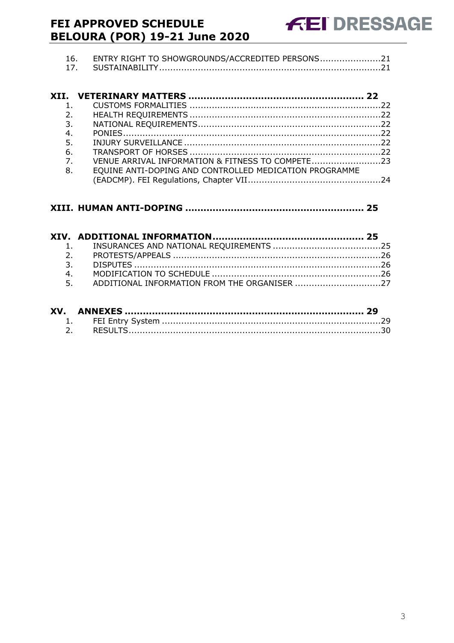| 16. ENTRY RIGHT TO SHOWGROUNDS/ACCREDITED PERSONS21 |  |
|-----------------------------------------------------|--|
|                                                     |  |

| 2.             |                                                        |  |
|----------------|--------------------------------------------------------|--|
| 3.             |                                                        |  |
| 4.             |                                                        |  |
| 5.             |                                                        |  |
| 6.             |                                                        |  |
| 7 <sub>1</sub> | VENUE ARRIVAL INFORMATION & FITNESS TO COMPETE23       |  |
| 8.             | EQUINE ANTI-DOPING AND CONTROLLED MEDICATION PROGRAMME |  |

|    | 3.                                              |  |
|----|-------------------------------------------------|--|
| 4. |                                                 |  |
|    | 5. ADDITIONAL INFORMATION FROM THE ORGANISER 27 |  |
|    |                                                 |  |
|    |                                                 |  |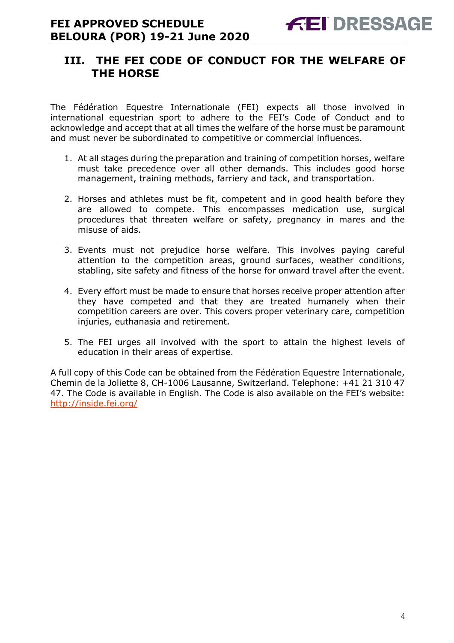# **III. THE FEI CODE OF CONDUCT FOR THE WELFARE OF THE HORSE**

The Fédération Equestre Internationale (FEI) expects all those involved in international equestrian sport to adhere to the FEI's Code of Conduct and to acknowledge and accept that at all times the welfare of the horse must be paramount and must never be subordinated to competitive or commercial influences.

- 1. At all stages during the preparation and training of competition horses, welfare must take precedence over all other demands. This includes good horse management, training methods, farriery and tack, and transportation.
- 2. Horses and athletes must be fit, competent and in good health before they are allowed to compete. This encompasses medication use, surgical procedures that threaten welfare or safety, pregnancy in mares and the misuse of aids.
- 3. Events must not prejudice horse welfare. This involves paying careful attention to the competition areas, ground surfaces, weather conditions, stabling, site safety and fitness of the horse for onward travel after the event.
- 4. Every effort must be made to ensure that horses receive proper attention after they have competed and that they are treated humanely when their competition careers are over. This covers proper veterinary care, competition injuries, euthanasia and retirement.
- 5. The FEI urges all involved with the sport to attain the highest levels of education in their areas of expertise.

A full copy of this Code can be obtained from the Fédération Equestre Internationale, Chemin de la Joliette 8, CH-1006 Lausanne, Switzerland. Telephone: +41 21 310 47 47. The Code is available in English. The Code is also available on the FEI's website: http://inside.fei.org/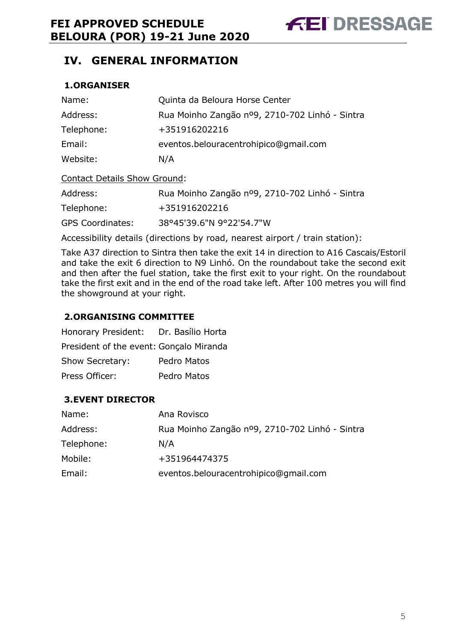# **IV. GENERAL INFORMATION**

#### **1.ORGANISER**

| Name:                               | Quinta da Beloura Horse Center                 |
|-------------------------------------|------------------------------------------------|
| Address:                            | Rua Moinho Zangão nº9, 2710-702 Linhó - Sintra |
| Telephone:                          | +351916202216                                  |
| Email:                              | eventos.belouracentrohipico@gmail.com          |
| Website:                            | N/A                                            |
| <b>Contact Details Show Ground:</b> |                                                |
| Address:                            | Rua Moinho Zangão nº9, 2710-702 Linhó - Sintra |

Telephone: +351916202216

GPS Coordinates: 38°45'39.6"N 9°22'54.7"W

Accessibility details (directions by road, nearest airport / train station):

Take A37 direction to Sintra then take the exit 14 in direction to A16 Cascais/Estoril and take the exit 6 direction to N9 Linhó. On the roundabout take the second exit and then after the fuel station, take the first exit to your right. On the roundabout take the first exit and in the end of the road take left. After 100 metres you will find the showground at your right.

#### **2.ORGANISING COMMITTEE**

| Honorary President: Dr. Basílio Horta   |             |
|-----------------------------------------|-------------|
| President of the event: Gonçalo Miranda |             |
| Show Secretary:                         | Pedro Matos |
| Press Officer:                          | Pedro Matos |

### **3.EVENT DIRECTOR**

| Name:      | Ana Rovisco                                    |
|------------|------------------------------------------------|
| Address:   | Rua Moinho Zangão nº9, 2710-702 Linhó - Sintra |
| Telephone: | N/A                                            |
| Mobile:    | +351964474375                                  |
| Email:     | eventos.belouracentrohipico@gmail.com          |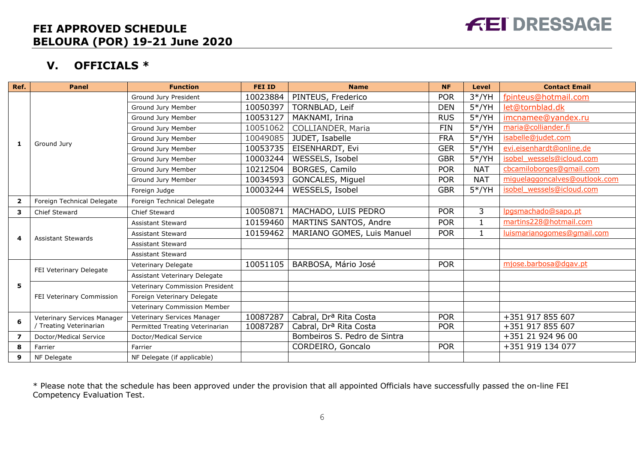# **FEI DRESSAGE**

# **FEI APPROVED SCHEDULE BELOURA (POR) 19-21 June 2020**

# **V. OFFICIALS \***

| Ref.                    | <b>Panel</b>                | <b>Function</b>                 | <b>FEI ID</b> | <b>Name</b>                        | <b>NF</b>  | <b>Level</b> | <b>Contact Email</b>          |
|-------------------------|-----------------------------|---------------------------------|---------------|------------------------------------|------------|--------------|-------------------------------|
|                         |                             | Ground Jury President           | 10023884      | PINTEUS, Frederico                 | <b>POR</b> | $3*/YH$      | fpinteus@hotmail.com          |
|                         |                             | Ground Jury Member              | 10050397      | TORNBLAD, Leif                     | <b>DEN</b> | $5*/YH$      | let@tornblad.dk               |
|                         |                             | Ground Jury Member              | 10053127      | MAKNAMI, Irina                     | <b>RUS</b> | $5*/YH$      | imcnamee@yandex.ru            |
|                         |                             | Ground Jury Member              | 10051062      | <b>COLLIANDER, Maria</b>           | <b>FIN</b> | $5*/YH$      | maria@colliander.fi           |
|                         |                             | Ground Jury Member              | 10049085      | JUDET, Isabelle                    | <b>FRA</b> | $5*/YH$      | isabelle@judet.com            |
| 1                       | Ground Jury                 | Ground Jury Member              | 10053735      | EISENHARDT, Evi                    | <b>GER</b> | $5*/YH$      | evi.eisenhardt@online.de      |
|                         |                             | Ground Jury Member              | 10003244      | WESSELS, Isobel                    | <b>GBR</b> | $5*/YH$      | isobel wessels@icloud.com     |
|                         |                             | Ground Jury Member              | 10212504      | BORGES, Camilo                     | <b>POR</b> | <b>NAT</b>   | cbcamiloborges@gmail.com      |
|                         |                             | Ground Jury Member              | 10034593      | GONCALES, Miguel                   | <b>POR</b> | <b>NAT</b>   | miguelaggoncalves@outlook.com |
|                         |                             | Foreign Judge                   | 10003244      | WESSELS, Isobel                    | <b>GBR</b> | $5*/YH$      | isobel wessels@icloud.com     |
| $\overline{2}$          | Foreign Technical Delegate  | Foreign Technical Delegate      |               |                                    |            |              |                               |
| 3                       | <b>Chief Steward</b>        | Chief Steward                   | 10050871      | MACHADO, LUIS PEDRO                | <b>POR</b> | 3            | lpgsmachado@sapo.pt           |
|                         | <b>Assistant Stewards</b>   | Assistant Steward               | 10159460      | MARTINS SANTOS, Andre              | <b>POR</b> | $\mathbf{1}$ | martins228@hotmail.com        |
| 4                       |                             | <b>Assistant Steward</b>        | 10159462      | MARIANO GOMES, Luis Manuel         | <b>POR</b> | $\mathbf{1}$ | luismarianogomes@gmail.com    |
|                         |                             | <b>Assistant Steward</b>        |               |                                    |            |              |                               |
|                         |                             | <b>Assistant Steward</b>        |               |                                    |            |              |                               |
|                         | FEI Veterinary Delegate     | Veterinary Delegate             | 10051105      | BARBOSA, Mário José                | <b>POR</b> |              | mjose.barbosa@dgav.pt         |
|                         |                             | Assistant Veterinary Delegate   |               |                                    |            |              |                               |
| 5                       |                             | Veterinary Commission President |               |                                    |            |              |                               |
|                         | FEI Veterinary Commission   | Foreign Veterinary Delegate     |               |                                    |            |              |                               |
|                         |                             | Veterinary Commission Member    |               |                                    |            |              |                               |
| 6                       | Veterinary Services Manager | Veterinary Services Manager     | 10087287      | Cabral, Dr <sup>a</sup> Rita Costa | <b>POR</b> |              | +351 917 855 607              |
|                         | / Treating Veterinarian     | Permitted Treating Veterinarian | 10087287      | Cabral, Drª Rita Costa             | <b>POR</b> |              | +351 917 855 607              |
| $\overline{\mathbf{z}}$ | Doctor/Medical Service      | Doctor/Medical Service          |               | Bombeiros S. Pedro de Sintra       |            |              | +351 21 924 96 00             |
| 8                       | Farrier                     | Farrier                         |               | CORDEIRO, Goncalo                  | <b>POR</b> |              | +351 919 134 077              |
| 9                       | NF Delegate                 | NF Delegate (if applicable)     |               |                                    |            |              |                               |

\* Please note that the schedule has been approved under the provision that all appointed Officials have successfully passed the on-line FEI Competency Evaluation Test.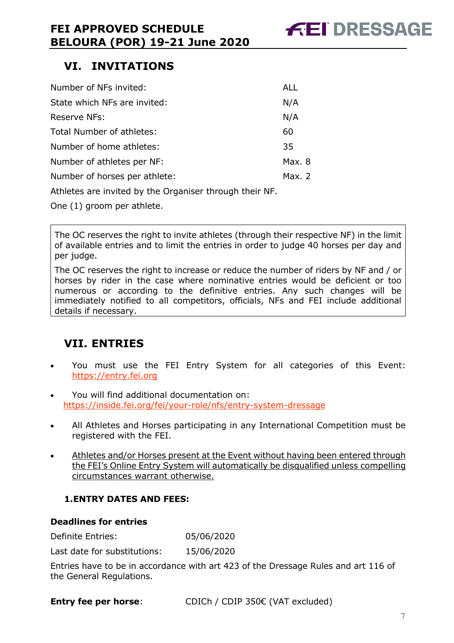# **VI. INVITATIONS**

| Number of NFs invited:                                                                                                                                                                                                            | <b>ALL</b> |  |  |  |  |
|-----------------------------------------------------------------------------------------------------------------------------------------------------------------------------------------------------------------------------------|------------|--|--|--|--|
| State which NFs are invited:                                                                                                                                                                                                      |            |  |  |  |  |
| Reserve NFs:                                                                                                                                                                                                                      | N/A        |  |  |  |  |
| Total Number of athletes:                                                                                                                                                                                                         | 60         |  |  |  |  |
| Number of home athletes:                                                                                                                                                                                                          | 35         |  |  |  |  |
| Number of athletes per NF:                                                                                                                                                                                                        | Max. 8     |  |  |  |  |
| Number of horses per athlete:                                                                                                                                                                                                     | Max. $2$   |  |  |  |  |
| $\mathbf{A}$ . The contract of the contract of the contract of the contract of the contract of the contract of the contract of the contract of the contract of the contract of the contract of the contract of the contract of th |            |  |  |  |  |

Athletes are invited by the Organiser through their NF.

One (1) groom per athlete.

The OC reserves the right to invite athletes (through their respective NF) in the limit of available entries and to limit the entries in order to judge 40 horses per day and per judge.

The OC reserves the right to increase or reduce the number of riders by NF and / or horses by rider in the case where nominative entries would be deficient or too numerous or according to the definitive entries. Any such changes will be immediately notified to all competitors, officials, NFs and FEI include additional details if necessary.

# **VII. ENTRIES**

- You must use the FEI Entry System for all categories of this Event: https://entry.fei.org
- You will find additional documentation on: https://inside.fei.org/fei/your-role/nfs/entry-system-dressage
- All Athletes and Horses participating in any International Competition must be registered with the FEI.
- Athletes and/or Horses present at the Event without having been entered through the FEI's Online Entry System will automatically be disqualified unless compelling circumstances warrant otherwise.

### **1.ENTRY DATES AND FEES:**

#### **Deadlines for entries**

Definite Entries: 05/06/2020

Last date for substitutions: 15/06/2020

Entries have to be in accordance with art 423 of the Dressage Rules and art 116 of the General Regulations.

**Entry fee per horse**: CDICh / CDIP 350€ (VAT excluded)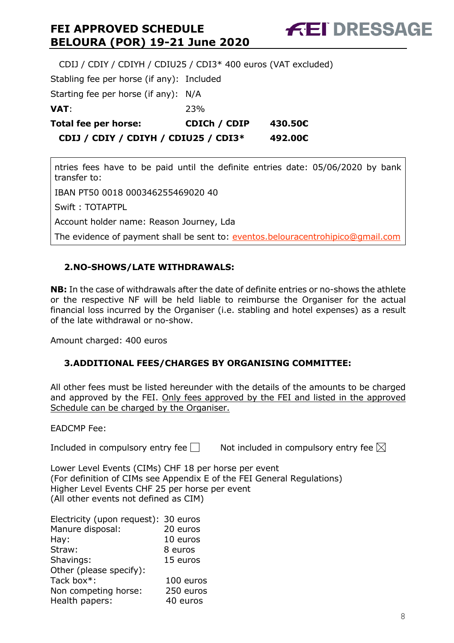**FEI DRESSAGE** 

 CDIJ / CDIY / CDIYH / CDIU25 / CDI3\* 400 euros (VAT excluded) Stabling fee per horse (if any): Included Starting fee per horse (if any): N/A **VAT**: 23% **Total fee per horse: CDICh / CDIP 430.50€ CDIJ / CDIY / CDIYH / CDIU25 / CDI3\* 492.00€**

ntries fees have to be paid until the definite entries date: 05/06/2020 by bank transfer to:

IBAN PT50 0018 000346255469020 40

Swift : TOTAPTPL

Account holder name: Reason Journey, Lda

The evidence of payment shall be sent to: eventos.belouracentrohipico@gmail.com

#### **2.NO-SHOWS/LATE WITHDRAWALS:**

**NB:** In the case of withdrawals after the date of definite entries or no-shows the athlete or the respective NF will be held liable to reimburse the Organiser for the actual financial loss incurred by the Organiser (i.e. stabling and hotel expenses) as a result of the late withdrawal or no-show.

Amount charged: 400 euros

#### **3.ADDITIONAL FEES/CHARGES BY ORGANISING COMMITTEE:**

All other fees must be listed hereunder with the details of the amounts to be charged and approved by the FEI. Only fees approved by the FEI and listed in the approved Schedule can be charged by the Organiser.

EADCMP Fee:

Included in compulsory entry fee  $\Box$  Not included in compulsory entry fee  $\boxtimes$ 

Lower Level Events (CIMs) CHF 18 per horse per event (For definition of CIMs see Appendix E of the FEI General Regulations) Higher Level Events CHF 25 per horse per event (All other events not defined as CIM)

| Electricity (upon request): 30 euros |           |
|--------------------------------------|-----------|
| Manure disposal:                     | 20 euros  |
| Hay:                                 | 10 euros  |
| Straw:                               | 8 euros   |
| Shavings:                            | 15 euros  |
| Other (please specify):              |           |
| Tack box*:                           | 100 euros |
| Non competing horse:                 | 250 euros |
| Health papers:                       | 40 euros  |
|                                      |           |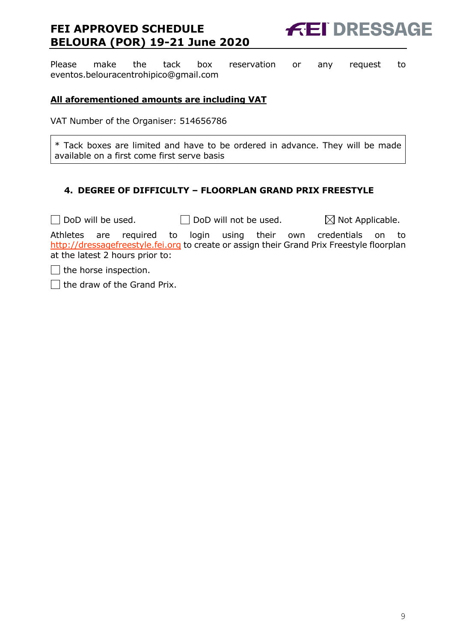

Please make the tack box reservation or any request to eventos.belouracentrohipico@gmail.com

#### **All aforementioned amounts are including VAT**

VAT Number of the Organiser: 514656786

\* Tack boxes are limited and have to be ordered in advance. They will be made available on a first come first serve basis

#### **4. DEGREE OF DIFFICULTY – FLOORPLAN GRAND PRIX FREESTYLE**

 $\Box$  DoD will be used.  $\Box$  DoD will not be used.  $\boxtimes$  Not Applicable.

Athletes are required to login using their own credentials on to http://dressagefreestyle.fei.org to create or assign their Grand Prix Freestyle floorplan at the latest 2 hours prior to:

 $\Box$  the horse inspection.

 $\Box$  the draw of the Grand Prix.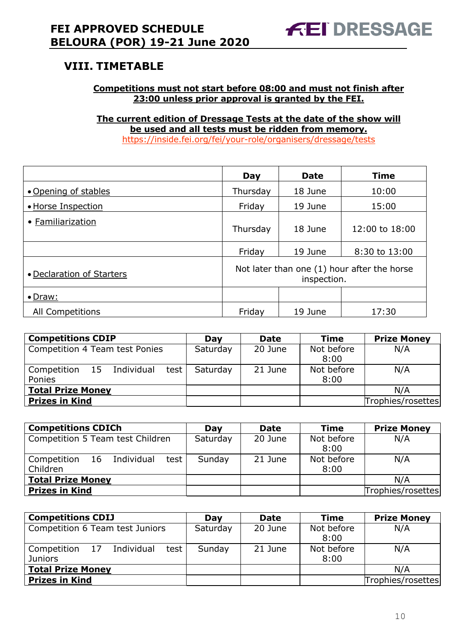# **VIII. TIMETABLE**

#### **Competitions must not start before 08:00 and must not finish after 23:00 unless prior approval is granted by the FEI.**

**The current edition of Dressage Tests at the date of the show will be used and all tests must be ridden from memory.** https://inside.fei.org/fei/your-role/organisers/dressage/tests

|                           | Day                                                        | <b>Date</b> | <b>Time</b>    |
|---------------------------|------------------------------------------------------------|-------------|----------------|
| • Opening of stables      | Thursday                                                   | 18 June     | 10:00          |
| • Horse Inspection        | Friday                                                     | 19 June     | 15:00          |
| • Familiarization         | Thursday                                                   | 18 June     | 12:00 to 18:00 |
|                           | Friday                                                     | 19 June     | 8:30 to 13:00  |
| • Declaration of Starters | Not later than one (1) hour after the horse<br>inspection. |             |                |
| $\bullet$ Draw:           |                                                            |             |                |
| All Competitions          | Friday                                                     | 19 June     | 17:30          |

| <b>Competitions CDIP</b>            | Day      | <b>Date</b> | <b>Time</b>        | <b>Prize Money</b> |
|-------------------------------------|----------|-------------|--------------------|--------------------|
| Competition 4 Team test Ponies      | Saturday | 20 June     | Not before<br>8:00 | N/A                |
| test  <br>Competition 15 Individual | Saturday | 21 June     | Not before         | N/A                |
| Ponies                              |          |             | 8:00               |                    |
| <b>Total Prize Money</b>            |          |             |                    | N/A                |
| <b>Prizes in Kind</b>               |          |             |                    | Trophies/rosettes  |

| <b>Competitions CDICh</b>                     | Day      | <b>Date</b> | <b>Time</b>        | <b>Prize Money</b> |
|-----------------------------------------------|----------|-------------|--------------------|--------------------|
| Competition 5 Team test Children              | Saturday | 20 June     | Not before<br>8:00 | N/A                |
| Competition 16 Individual<br>test<br>Children | Sunday   | 21 June     | Not before<br>8:00 | N/A                |
| <b>Total Prize Money</b>                      |          |             |                    | N/A                |
| <b>Prizes in Kind</b>                         |          |             |                    | Trophies/rosettes  |

| <b>Competitions CDIJ</b>                                 | Day      | <b>Date</b> | <b>Time</b>        | <b>Prize Money</b> |
|----------------------------------------------------------|----------|-------------|--------------------|--------------------|
| Competition 6 Team test Juniors                          | Saturday | 20 June     | Not before<br>8:00 | N/A                |
| Competition 17<br>test  <br>Individual<br><b>Juniors</b> | Sunday   | 21 June     | Not before<br>8:00 | N/A                |
| <b>Total Prize Money</b>                                 |          |             |                    | N/A                |
| <b>Prizes in Kind</b>                                    |          |             |                    | Trophies/rosettes  |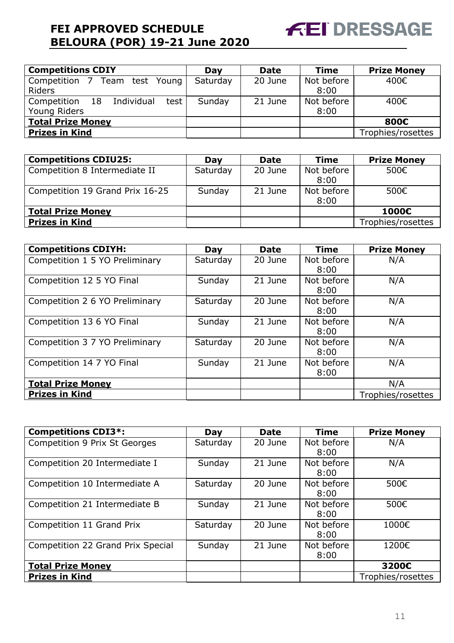

| <b>Competitions CDIY</b>          | Day      | <b>Date</b> | <b>Time</b> | <b>Prize Money</b> |
|-----------------------------------|----------|-------------|-------------|--------------------|
| Competition 7 Team test Young     | Saturday | 20 June     | Not before  | 400€               |
| <b>Riders</b>                     |          |             | 8:00        |                    |
| Competition 18 Individual<br>test | Sunday   | 21 June     | Not before  | 400€               |
| Young Riders                      |          |             | 8:00        |                    |
| <b>Total Prize Money</b>          |          |             |             | 800€               |
| <b>Prizes in Kind</b>             |          |             |             | Trophies/rosettes  |

| <b>Competitions CDIU25:</b>     | Dav      | <b>Date</b> | Time       | <b>Prize Money</b> |
|---------------------------------|----------|-------------|------------|--------------------|
| Competition 8 Intermediate II   | Saturday | 20 June     | Not before | 500€               |
|                                 |          |             | 8:00       |                    |
| Competition 19 Grand Prix 16-25 | Sunday   | 21 June     | Not before | 500€               |
|                                 |          |             | 8:00       |                    |
| <b>Total Prize Money</b>        |          |             |            | 1000€              |
| <b>Prizes in Kind</b>           |          |             |            | Trophies/rosettes  |

| <b>Competitions CDIYH:</b>     | Day      | <b>Date</b> | Time       | <b>Prize Money</b> |
|--------------------------------|----------|-------------|------------|--------------------|
| Competition 1 5 YO Preliminary | Saturday | 20 June     | Not before | N/A                |
|                                |          |             | 8:00       |                    |
| Competition 12 5 YO Final      | Sunday   | 21 June     | Not before | N/A                |
|                                |          |             | 8:00       |                    |
| Competition 2 6 YO Preliminary | Saturday | 20 June     | Not before | N/A                |
|                                |          |             | 8:00       |                    |
| Competition 13 6 YO Final      | Sunday   | 21 June     | Not before | N/A                |
|                                |          |             | 8:00       |                    |
| Competition 3 7 YO Preliminary | Saturday | 20 June     | Not before | N/A                |
|                                |          |             | 8:00       |                    |
| Competition 14 7 YO Final      | Sunday   | 21 June     | Not before | N/A                |
|                                |          |             | 8:00       |                    |
| <b>Total Prize Money</b>       |          |             |            | N/A                |
| <b>Prizes in Kind</b>          |          |             |            | Trophies/rosettes  |

| <b>Competitions CDI3*:</b>        | Day      | <b>Date</b> | Time       | <b>Prize Money</b> |
|-----------------------------------|----------|-------------|------------|--------------------|
| Competition 9 Prix St Georges     | Saturday | 20 June     | Not before | N/A                |
|                                   |          |             | 8:00       |                    |
| Competition 20 Intermediate I     | Sunday   | 21 June     | Not before | N/A                |
|                                   |          |             | 8:00       |                    |
| Competition 10 Intermediate A     | Saturday | 20 June     | Not before | 500€               |
|                                   |          |             | 8:00       |                    |
| Competition 21 Intermediate B     | Sunday   | 21 June     | Not before | 500€               |
|                                   |          |             | 8:00       |                    |
| Competition 11 Grand Prix         | Saturday | 20 June     | Not before | 1000€              |
|                                   |          |             | 8:00       |                    |
| Competition 22 Grand Prix Special | Sunday   | 21 June     | Not before | 1200€              |
|                                   |          |             | 8:00       |                    |
| <b>Total Prize Money</b>          |          |             |            | 3200€              |
| <b>Prizes in Kind</b>             |          |             |            | Trophies/rosettes  |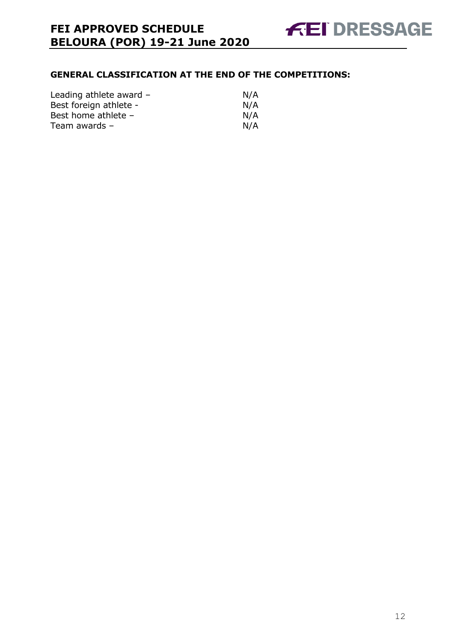#### **GENERAL CLASSIFICATION AT THE END OF THE COMPETITIONS:**

| Leading athlete award - | N/A |
|-------------------------|-----|
| Best foreign athlete -  | N/A |
| Best home athlete -     | N/A |
| Team awards $-$         | N/A |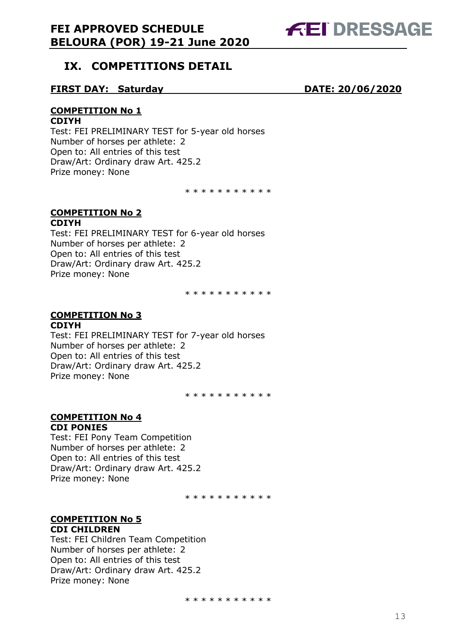

# **IX. COMPETITIONS DETAIL**

#### **FIRST DAY: Saturday DATE: 20/06/2020**

#### **COMPETITION No 1**

#### **CDIYH**

Test: FEI PRELIMINARY TEST for 5-year old horses Number of horses per athlete: 2 Open to: All entries of this test Draw/Art: Ordinary draw Art. 425.2 Prize money: None

\* \* \* \* \* \* \* \* \* \*

#### **COMPETITION No 2 CDIYH**

Test: FEI PRELIMINARY TEST for 6-year old horses Number of horses per athlete: 2 Open to: All entries of this test Draw/Art: Ordinary draw Art. 425.2 Prize money: None

\* \* \* \* \* \* \* \* \* \*

#### **COMPETITION No 3 CDIYH**

Test: FEI PRELIMINARY TEST for 7-year old horses Number of horses per athlete: 2 Open to: All entries of this test Draw/Art: Ordinary draw Art. 425.2 Prize money: None

\* \* \* \* \* \* \* \* \* \*

# **COMPETITION No 4**

#### **CDI PONIES**

Test: FEI Pony Team Competition Number of horses per athlete: 2 Open to: All entries of this test Draw/Art: Ordinary draw Art. 425.2 Prize money: None

\* \* \* \* \* \* \* \* \* \* \*

#### **COMPETITION No 5 CDI CHILDREN**

Test: FEI Children Team Competition Number of horses per athlete: 2 Open to: All entries of this test Draw/Art: Ordinary draw Art. 425.2 Prize money: None

\* \* \* \* \* \* \* \* \* \*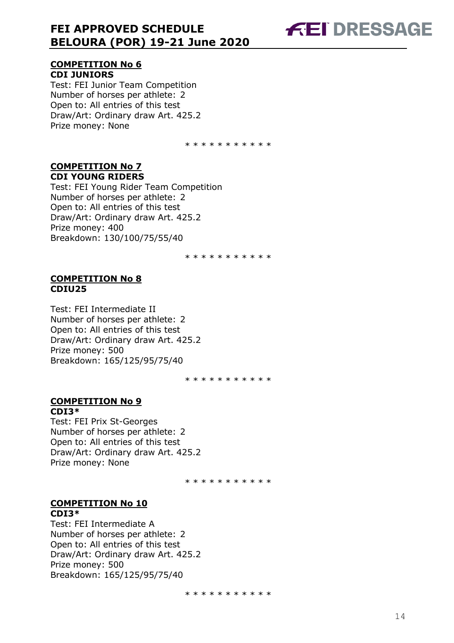# **FEI DRESSAGE**

#### **COMPETITION No 6 CDI JUNIORS**

Test: FEI Junior Team Competition Number of horses per athlete: 2 Open to: All entries of this test Draw/Art: Ordinary draw Art. 425.2 Prize money: None

\* \* \* \* \* \* \* \* \* \*

#### **COMPETITION No 7 CDI YOUNG RIDERS**

Test: FEI Young Rider Team Competition Number of horses per athlete: 2 Open to: All entries of this test Draw/Art: Ordinary draw Art. 425.2 Prize money: 400 Breakdown: 130/100/75/55/40

\* \* \* \* \* \* \* \* \* \*

#### **COMPETITION No 8 CDIU25**

Test: FEI Intermediate II Number of horses per athlete: 2 Open to: All entries of this test Draw/Art: Ordinary draw Art. 425.2 Prize money: 500 Breakdown: 165/125/95/75/40

\* \* \* \* \* \* \* \* \* \*

#### **COMPETITION No 9 CDI3\***

Test: FEI Prix St-Georges Number of horses per athlete: 2 Open to: All entries of this test Draw/Art: Ordinary draw Art. 425.2 Prize money: None

\* \* \* \* \* \* \* \* \* \*

#### **COMPETITION No 10 CDI3\***

Test: FEI Intermediate A Number of horses per athlete: 2 Open to: All entries of this test Draw/Art: Ordinary draw Art. 425.2 Prize money: 500 Breakdown: 165/125/95/75/40

\* \* \* \* \* \* \* \* \* \*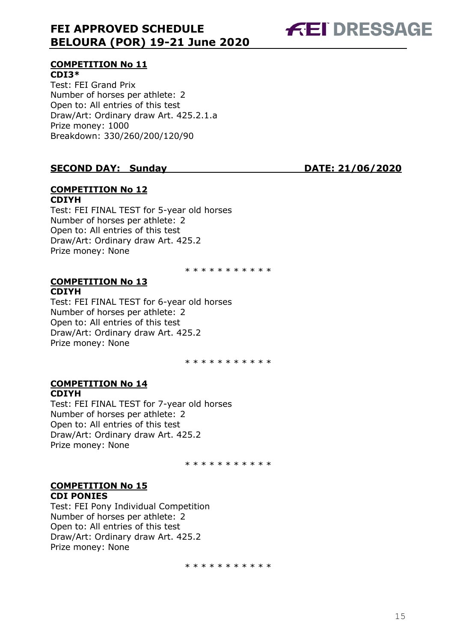

# **COMPETITION No 11**

**CDI3\***  Test: FEI Grand Prix Number of horses per athlete: 2 Open to: All entries of this test Draw/Art: Ordinary draw Art. 425.2.1.a Prize money: 1000 Breakdown: 330/260/200/120/90

#### **SECOND DAY: Sunday DATE: 21/06/2020**

#### **COMPETITION No 12 CDIYH**

Test: FEI FINAL TEST for 5-year old horses Number of horses per athlete: 2 Open to: All entries of this test Draw/Art: Ordinary draw Art. 425.2 Prize money: None

\* \* \* \* \* \* \* \* \* \*

#### **COMPETITION No 13 CDIYH**

Test: FEI FINAL TEST for 6-year old horses Number of horses per athlete: 2 Open to: All entries of this test Draw/Art: Ordinary draw Art. 425.2 Prize money: None

\* \* \* \* \* \* \* \* \* \*

#### **COMPETITION No 14 CDIYH**

Test: FEI FINAL TEST for 7-year old horses Number of horses per athlete: 2 Open to: All entries of this test Draw/Art: Ordinary draw Art. 425.2 Prize money: None

\* \* \* \* \* \* \* \* \* \*

#### **COMPETITION No 15 CDI PONIES**

Test: FEI Pony Individual Competition Number of horses per athlete: 2 Open to: All entries of this test Draw/Art: Ordinary draw Art. 425.2 Prize money: None

\* \* \* \* \* \* \* \* \* \*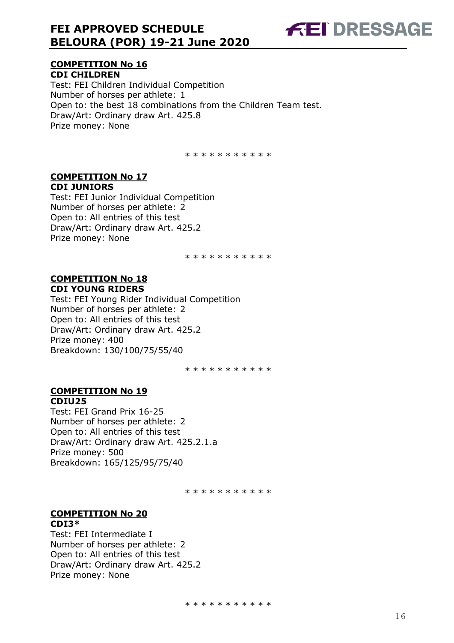

#### **COMPETITION No 16 CDI CHILDREN**

Test: FEI Children Individual Competition Number of horses per athlete: 1 Open to: the best 18 combinations from the Children Team test. Draw/Art: Ordinary draw Art. 425.8 Prize money: None

\* \* \* \* \* \* \* \* \* \*

#### **COMPETITION No 17 CDI JUNIORS**

Test: FEI Junior Individual Competition Number of horses per athlete: 2 Open to: All entries of this test Draw/Art: Ordinary draw Art. 425.2 Prize money: None

\* \* \* \* \* \* \* \* \* \*

#### **COMPETITION No 18 CDI YOUNG RIDERS**

Test: FEI Young Rider Individual Competition Number of horses per athlete: 2 Open to: All entries of this test Draw/Art: Ordinary draw Art. 425.2 Prize money: 400 Breakdown: 130/100/75/55/40

\* \* \* \* \* \* \* \* \* \*

#### **COMPETITION No 19 CDIU25**

Test: FEI Grand Prix 16-25 Number of horses per athlete: 2 Open to: All entries of this test Draw/Art: Ordinary draw Art. 425.2.1.a Prize money: 500 Breakdown: 165/125/95/75/40

\* \* \* \* \* \* \* \* \* \*

#### **COMPETITION No 20 CDI3\***

Test: FEI Intermediate I Number of horses per athlete: 2 Open to: All entries of this test Draw/Art: Ordinary draw Art. 425.2 Prize money: None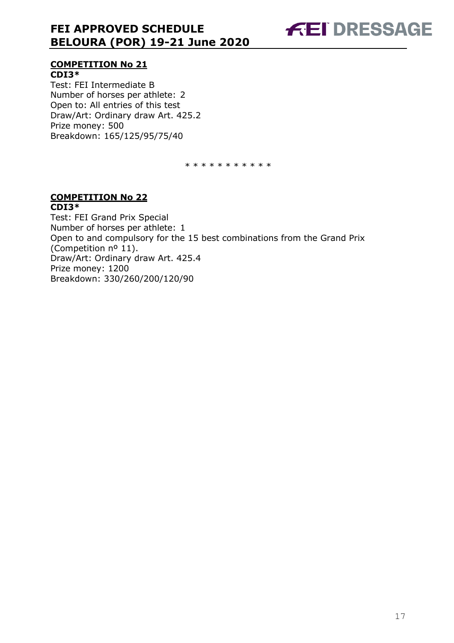

#### **COMPETITION No 21 CDI3\***

Test: FEI Intermediate B Number of horses per athlete: 2 Open to: All entries of this test Draw/Art: Ordinary draw Art. 425.2 Prize money: 500 Breakdown: 165/125/95/75/40

\* \* \* \* \* \* \* \* \* \*

#### **COMPETITION No 22 CDI3\***

Test: FEI Grand Prix Special Number of horses per athlete: 1 Open to and compulsory for the 15 best combinations from the Grand Prix (Competition nº 11). Draw/Art: Ordinary draw Art. 425.4 Prize money: 1200 Breakdown: 330/260/200/120/90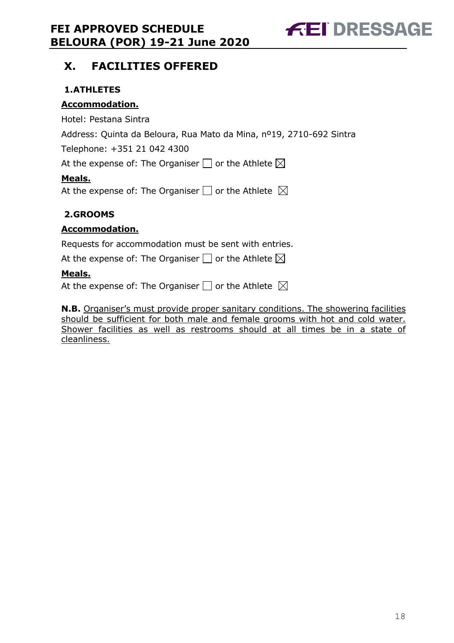

# **X. FACILITIES OFFERED**

#### **1.ATHLETES**

#### **Accommodation.**

Hotel: Pestana Sintra

Address: Quinta da Beloura, Rua Mato da Mina, nº19, 2710-692 Sintra

Telephone: +351 21 042 4300

At the expense of: The Organiser  $\Box$  or the Athlete  $\boxtimes$ 

#### **Meals.**

At the expense of: The Organiser  $\Box$  or the Athlete  $\boxtimes$ 

#### **2.GROOMS**

#### **Accommodation.**

Requests for accommodation must be sent with entries.

At the expense of: The Organiser  $\Box$  or the Athlete  $\boxtimes$ 

#### **Meals.**

At the expense of: The Organiser  $\Box$  or the Athlete  $\boxtimes$ 

**N.B.** Organiser's must provide proper sanitary conditions. The showering facilities should be sufficient for both male and female grooms with hot and cold water. Shower facilities as well as restrooms should at all times be in a state of cleanliness.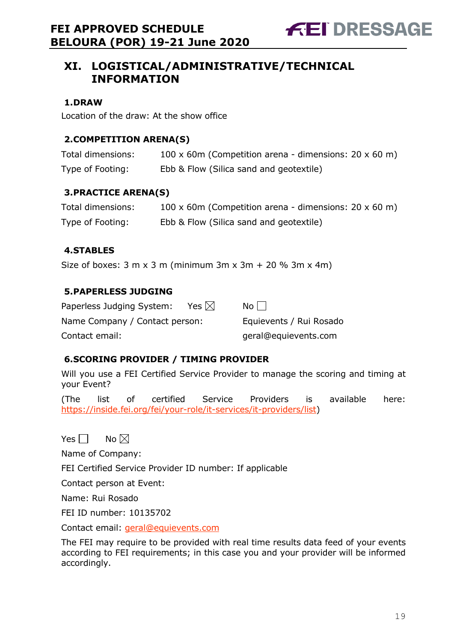# **XI. LOGISTICAL/ADMINISTRATIVE/TECHNICAL INFORMATION**

#### **1.DRAW**

Location of the draw: At the show office

#### **2.COMPETITION ARENA(S)**

| Total dimensions: | 100 x 60m (Competition arena - dimensions: $20 \times 60$ m) |
|-------------------|--------------------------------------------------------------|
| Type of Footing:  | Ebb & Flow (Silica sand and geotextile)                      |

#### **3.PRACTICE ARENA(S)**

| Total dimensions: | 100 x 60m (Competition arena - dimensions: $20 \times 60$ m) |
|-------------------|--------------------------------------------------------------|
| Type of Footing:  | Ebb & Flow (Silica sand and geotextile)                      |

#### **4.STABLES**

Size of boxes:  $3 \text{ m} \times 3 \text{ m}$  (minimum  $3 \text{ m} \times 3 \text{ m} + 20 \%$  3m  $\times$  4m)

#### **5.PAPERLESS JUDGING**

| Paperless Judging System:      | Yes $\boxtimes$ | $No$                    |
|--------------------------------|-----------------|-------------------------|
| Name Company / Contact person: |                 | Equievents / Rui Rosado |
| Contact email:                 |                 | geral@equievents.com    |

#### **6.SCORING PROVIDER / TIMING PROVIDER**

Will you use a FEI Certified Service Provider to manage the scoring and timing at your Event?

(The list of certified Service Providers is available here: https://inside.fei.org/fei/your-role/it-services/it-providers/list)

Yes  $\Box$  No  $\boxtimes$ 

Name of Company:

FEI Certified Service Provider ID number: If applicable

Contact person at Event:

Name: Rui Rosado

FEI ID number: 10135702

Contact email: geral@equievents.com

The FEI may require to be provided with real time results data feed of your events according to FEI requirements; in this case you and your provider will be informed accordingly.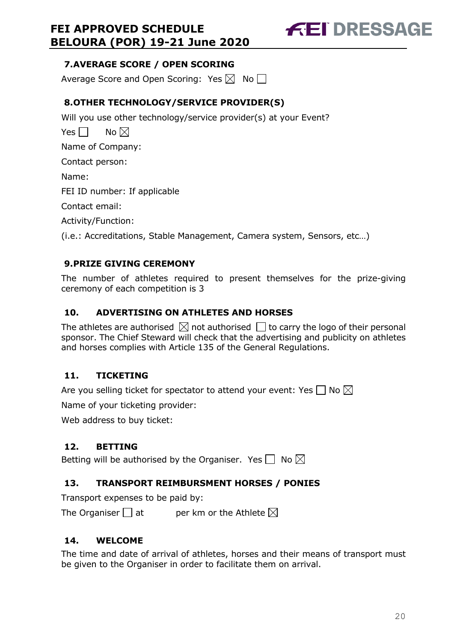

#### **7.AVERAGE SCORE / OPEN SCORING**

Average Score and Open Scoring: Yes  $\boxtimes$  No  $\Box$ 

## **8.OTHER TECHNOLOGY/SERVICE PROVIDER(S)**

Will you use other technology/service provider(s) at your Event?

Yes  $\neg$  No  $\neg$ Name of Company: Contact person: Name: FEI ID number: If applicable Contact email: Activity/Function: (i.e.: Accreditations, Stable Management, Camera system, Sensors, etc…)

## **9.PRIZE GIVING CEREMONY**

The number of athletes required to present themselves for the prize-giving ceremony of each competition is 3

### **10. ADVERTISING ON ATHLETES AND HORSES**

The athletes are authorised  $\boxtimes$  not authorised  $\Box$  to carry the logo of their personal sponsor. The Chief Steward will check that the advertising and publicity on athletes and horses complies with Article 135 of the General Regulations.

### **11. TICKETING**

Are you selling ticket for spectator to attend your event: Yes  $\Box$  No  $\boxtimes$ 

Name of your ticketing provider:

Web address to buy ticket:

### **12. BETTING**

Betting will be authorised by the Organiser. Yes  $\Box$  No  $\boxtimes$ 

### **13. TRANSPORT REIMBURSMENT HORSES / PONIES**

Transport expenses to be paid by:

The Organiser  $\Box$  at entries ber km or the Athlete  $\boxtimes$ 

### **14. WELCOME**

The time and date of arrival of athletes, horses and their means of transport must be given to the Organiser in order to facilitate them on arrival.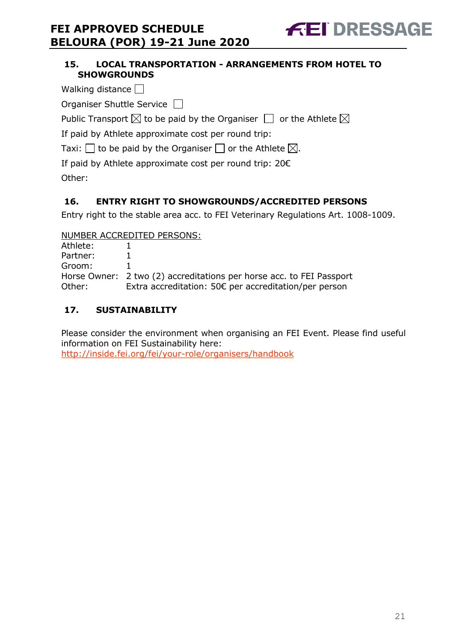#### **15. LOCAL TRANSPORTATION - ARRANGEMENTS FROM HOTEL TO SHOWGROUNDS**

- Walking distance  $\Box$
- Organiser Shuttle Service  $\Box$

Public Transport  $\boxtimes$  to be paid by the Organiser  $\Box$  or the Athlete  $\boxtimes$ 

If paid by Athlete approximate cost per round trip:

Taxi:  $\Box$  to be paid by the Organiser  $\Box$  or the Athlete  $\boxtimes$ .

If paid by Athlete approximate cost per round trip: 20€

Other:

# **16. ENTRY RIGHT TO SHOWGROUNDS/ACCREDITED PERSONS**

Entry right to the stable area acc. to FEI Veterinary Regulations Art. 1008-1009.

NUMBER ACCREDITED PERSONS:

| Athlete: |                                                                      |
|----------|----------------------------------------------------------------------|
| Partner: |                                                                      |
| Groom:   |                                                                      |
|          | Horse Owner: 2 two (2) accreditations per horse acc. to FEI Passport |
| Other:   | Extra accreditation: 50€ per accreditation/per person                |

# **17. SUSTAINABILITY**

Please consider the environment when organising an FEI Event. Please find useful information on FEI Sustainability here: http://inside.fei.org/fei/your-role/organisers/handbook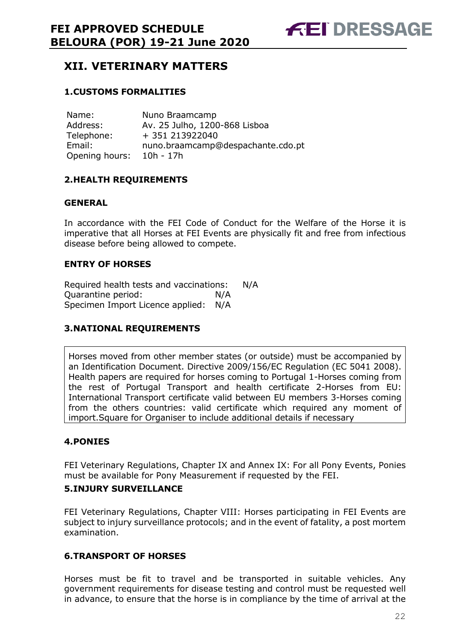

# **XII. VETERINARY MATTERS**

#### **1.CUSTOMS FORMALITIES**

| Name:          | Nuno Braamcamp                    |
|----------------|-----------------------------------|
| Address:       | Av. 25 Julho, 1200-868 Lisboa     |
| Telephone:     | + 351 213922040                   |
| Email:         | nuno.braamcamp@despachante.cdo.pt |
| Opening hours: | 10h - 17h                         |

#### **2.HEALTH REQUIREMENTS**

#### **GENERAL**

In accordance with the FEI Code of Conduct for the Welfare of the Horse it is imperative that all Horses at FEI Events are physically fit and free from infectious disease before being allowed to compete.

#### **ENTRY OF HORSES**

Required health tests and vaccinations: N/A Quarantine period: N/A Specimen Import Licence applied: N/A

#### **3.NATIONAL REQUIREMENTS**

Horses moved from other member states (or outside) must be accompanied by an Identification Document. Directive 2009/156/EC Regulation (EC 5041 2008). Health papers are required for horses coming to Portugal 1-Horses coming from the rest of Portugal Transport and health certificate 2-Horses from EU: International Transport certificate valid between EU members 3-Horses coming from the others countries: valid certificate which required any moment of import.Square for Organiser to include additional details if necessary

#### **4.PONIES**

FEI Veterinary Regulations, Chapter IX and Annex IX: For all Pony Events, Ponies must be available for Pony Measurement if requested by the FEI.

#### **5.INJURY SURVEILLANCE**

FEI Veterinary Regulations, Chapter VIII: Horses participating in FEI Events are subject to injury surveillance protocols; and in the event of fatality, a post mortem examination.

#### **6.TRANSPORT OF HORSES**

Horses must be fit to travel and be transported in suitable vehicles. Any government requirements for disease testing and control must be requested well in advance, to ensure that the horse is in compliance by the time of arrival at the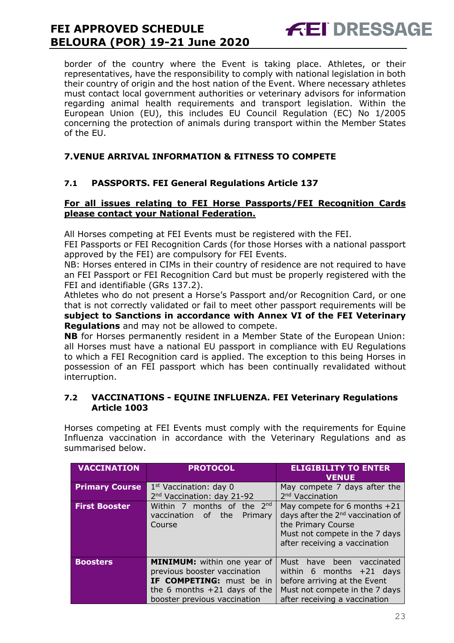**FEI DRESSAGE** 

border of the country where the Event is taking place. Athletes, or their representatives, have the responsibility to comply with national legislation in both their country of origin and the host nation of the Event. Where necessary athletes must contact local government authorities or veterinary advisors for information regarding animal health requirements and transport legislation. Within the European Union (EU), this includes EU Council Regulation (EC) No 1/2005 concerning the protection of animals during transport within the Member States of the EU.

#### **7.VENUE ARRIVAL INFORMATION & FITNESS TO COMPETE**

#### **7.1 PASSPORTS. FEI General Regulations Article 137**

#### **For all issues relating to FEI Horse Passports/FEI Recognition Cards please contact your National Federation.**

All Horses competing at FEI Events must be registered with the FEI.

FEI Passports or FEI Recognition Cards (for those Horses with a national passport approved by the FEI) are compulsory for FEI Events.

NB: Horses entered in CIMs in their country of residence are not required to have an FEI Passport or FEI Recognition Card but must be properly registered with the FEI and identifiable (GRs 137.2).

Athletes who do not present a Horse's Passport and/or Recognition Card, or one that is not correctly validated or fail to meet other passport requirements will be **subject to Sanctions in accordance with Annex VI of the FEI Veterinary Regulations** and may not be allowed to compete.

**NB** for Horses permanently resident in a Member State of the European Union: all Horses must have a national EU passport in compliance with EU Regulations to which a FEI Recognition card is applied. The exception to this being Horses in possession of an FEI passport which has been continually revalidated without interruption.

#### **7.2 VACCINATIONS - EQUINE INFLUENZA. FEI Veterinary Regulations Article 1003**

Horses competing at FEI Events must comply with the requirements for Equine Influenza vaccination in accordance with the Veterinary Regulations and as summarised below.

| <b>VACCINATION</b>    | <b>PROTOCOL</b>                                                 | <b>ELIGIBILITY TO ENTER</b><br><b>VENUE</b>   |  |
|-----------------------|-----------------------------------------------------------------|-----------------------------------------------|--|
| <b>Primary Course</b> | $1st$ Vaccination: day 0                                        | May compete 7 days after the                  |  |
|                       | 2 <sup>nd</sup> Vaccination: day 21-92                          | 2 <sup>nd</sup> Vaccination                   |  |
| <b>First Booster</b>  | Within 7 months of the $2^{nd}$<br>May compete for 6 months +21 |                                               |  |
|                       | vaccination of<br>the<br>Primary                                | days after the 2 <sup>nd</sup> vaccination of |  |
|                       | the Primary Course<br>Course                                    |                                               |  |
|                       | Must not compete in the 7 days                                  |                                               |  |
|                       |                                                                 | after receiving a vaccination                 |  |
|                       |                                                                 |                                               |  |
| <b>Boosters</b>       | MINIMUM: within one year of                                     | Must have been<br>vaccinated                  |  |
|                       | previous booster vaccination                                    | within 6 months $+21$ days                    |  |
|                       | IF COMPETING: must be in                                        | before arriving at the Event                  |  |
|                       | the 6 months $+21$ days of the                                  | Must not compete in the 7 days                |  |
|                       | booster previous vaccination                                    | after receiving a vaccination                 |  |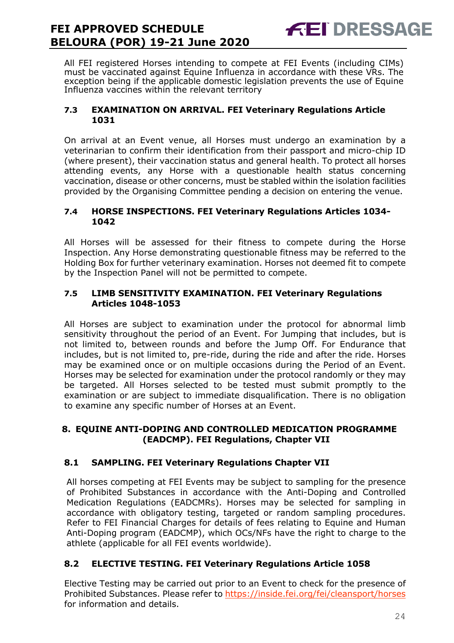

All FEI registered Horses intending to compete at FEI Events (including CIMs) must be vaccinated against Equine Influenza in accordance with these VRs. The exception being if the applicable domestic legislation prevents the use of Equine Influenza vaccines within the relevant territory

#### **7.3 EXAMINATION ON ARRIVAL. FEI Veterinary Regulations Article 1031**

On arrival at an Event venue, all Horses must undergo an examination by a veterinarian to confirm their identification from their passport and micro-chip ID (where present), their vaccination status and general health. To protect all horses attending events, any Horse with a questionable health status concerning vaccination, disease or other concerns, must be stabled within the isolation facilities provided by the Organising Committee pending a decision on entering the venue.

#### **7.4 HORSE INSPECTIONS. FEI Veterinary Regulations Articles 1034- 1042**

All Horses will be assessed for their fitness to compete during the Horse Inspection. Any Horse demonstrating questionable fitness may be referred to the Holding Box for further veterinary examination. Horses not deemed fit to compete by the Inspection Panel will not be permitted to compete.

#### **7.5 LIMB SENSITIVITY EXAMINATION. FEI Veterinary Regulations Articles 1048-1053**

All Horses are subject to examination under the protocol for abnormal limb sensitivity throughout the period of an Event. For Jumping that includes, but is not limited to, between rounds and before the Jump Off. For Endurance that includes, but is not limited to, pre-ride, during the ride and after the ride. Horses may be examined once or on multiple occasions during the Period of an Event. Horses may be selected for examination under the protocol randomly or they may be targeted. All Horses selected to be tested must submit promptly to the examination or are subject to immediate disqualification. There is no obligation to examine any specific number of Horses at an Event.

#### **8. EQUINE ANTI-DOPING AND CONTROLLED MEDICATION PROGRAMME (EADCMP). FEI Regulations, Chapter VII**

### **8.1 SAMPLING. FEI Veterinary Regulations Chapter VII**

All horses competing at FEI Events may be subject to sampling for the presence of Prohibited Substances in accordance with the Anti-Doping and Controlled Medication Regulations (EADCMRs). Horses may be selected for sampling in accordance with obligatory testing, targeted or random sampling procedures. Refer to FEI Financial Charges for details of fees relating to Equine and Human Anti-Doping program (EADCMP), which OCs/NFs have the right to charge to the athlete (applicable for all FEI events worldwide).

#### **8.2 ELECTIVE TESTING. FEI Veterinary Regulations Article 1058**

Elective Testing may be carried out prior to an Event to check for the presence of Prohibited Substances. Please refer to https://inside.fei.org/fei/cleansport/horses for information and details.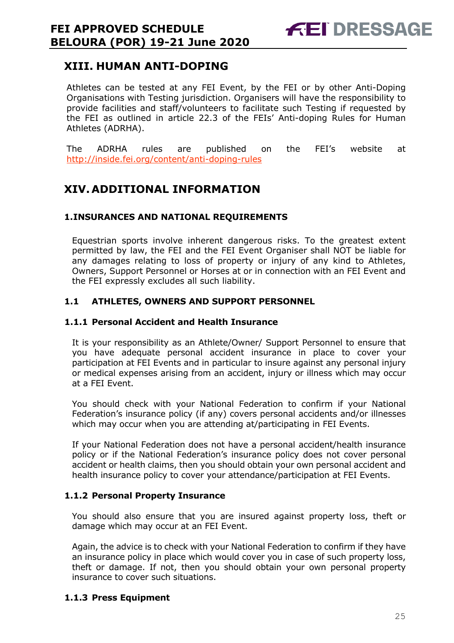# **XIII. HUMAN ANTI-DOPING**

Athletes can be tested at any FEI Event, by the FEI or by other Anti-Doping Organisations with Testing jurisdiction. Organisers will have the responsibility to provide facilities and staff/volunteers to facilitate such Testing if requested by the FEI as outlined in article 22.3 of the FEIs' Anti-doping Rules for Human Athletes (ADRHA).

The ADRHA rules are published on the FEI's website at http://inside.fei.org/content/anti-doping-rules

# **XIV. ADDITIONAL INFORMATION**

#### **1.INSURANCES AND NATIONAL REQUIREMENTS**

Equestrian sports involve inherent dangerous risks. To the greatest extent permitted by law, the FEI and the FEI Event Organiser shall NOT be liable for any damages relating to loss of property or injury of any kind to Athletes, Owners, Support Personnel or Horses at or in connection with an FEI Event and the FEI expressly excludes all such liability.

#### **1.1 ATHLETES, OWNERS AND SUPPORT PERSONNEL**

#### **1.1.1 Personal Accident and Health Insurance**

It is your responsibility as an Athlete/Owner/ Support Personnel to ensure that you have adequate personal accident insurance in place to cover your participation at FEI Events and in particular to insure against any personal injury or medical expenses arising from an accident, injury or illness which may occur at a FEI Event.

You should check with your National Federation to confirm if your National Federation's insurance policy (if any) covers personal accidents and/or illnesses which may occur when you are attending at/participating in FEI Events.

If your National Federation does not have a personal accident/health insurance policy or if the National Federation's insurance policy does not cover personal accident or health claims, then you should obtain your own personal accident and health insurance policy to cover your attendance/participation at FEI Events.

#### **1.1.2 Personal Property Insurance**

You should also ensure that you are insured against property loss, theft or damage which may occur at an FEI Event.

Again, the advice is to check with your National Federation to confirm if they have an insurance policy in place which would cover you in case of such property loss, theft or damage. If not, then you should obtain your own personal property insurance to cover such situations.

#### **1.1.3 Press Equipment**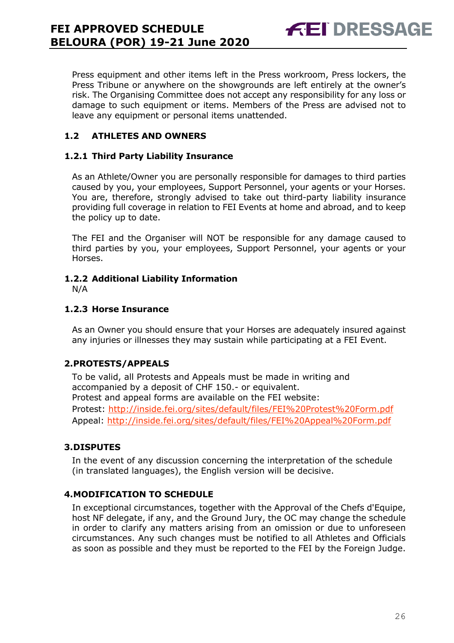Press equipment and other items left in the Press workroom, Press lockers, the Press Tribune or anywhere on the showgrounds are left entirely at the owner's risk. The Organising Committee does not accept any responsibility for any loss or damage to such equipment or items. Members of the Press are advised not to leave any equipment or personal items unattended.

**FEI DRESSAGE** 

#### **1.2 ATHLETES AND OWNERS**

#### **1.2.1 Third Party Liability Insurance**

As an Athlete/Owner you are personally responsible for damages to third parties caused by you, your employees, Support Personnel, your agents or your Horses. You are, therefore, strongly advised to take out third-party liability insurance providing full coverage in relation to FEI Events at home and abroad, and to keep the policy up to date.

The FEI and the Organiser will NOT be responsible for any damage caused to third parties by you, your employees, Support Personnel, your agents or your Horses.

#### **1.2.2 Additional Liability Information**

N/A

#### **1.2.3 Horse Insurance**

As an Owner you should ensure that your Horses are adequately insured against any injuries or illnesses they may sustain while participating at a FEI Event.

#### **2.PROTESTS/APPEALS**

To be valid, all Protests and Appeals must be made in writing and accompanied by a deposit of CHF 150.- or equivalent. Protest and appeal forms are available on the FEI website: Protest: http://inside.fei.org/sites/default/files/FEI%20Protest%20Form.pdf Appeal: http://inside.fei.org/sites/default/files/FEI%20Appeal%20Form.pdf

#### **3.DISPUTES**

In the event of any discussion concerning the interpretation of the schedule (in translated languages), the English version will be decisive.

#### **4.MODIFICATION TO SCHEDULE**

In exceptional circumstances, together with the Approval of the Chefs d'Equipe, host NF delegate, if any, and the Ground Jury, the OC may change the schedule in order to clarify any matters arising from an omission or due to unforeseen circumstances. Any such changes must be notified to all Athletes and Officials as soon as possible and they must be reported to the FEI by the Foreign Judge.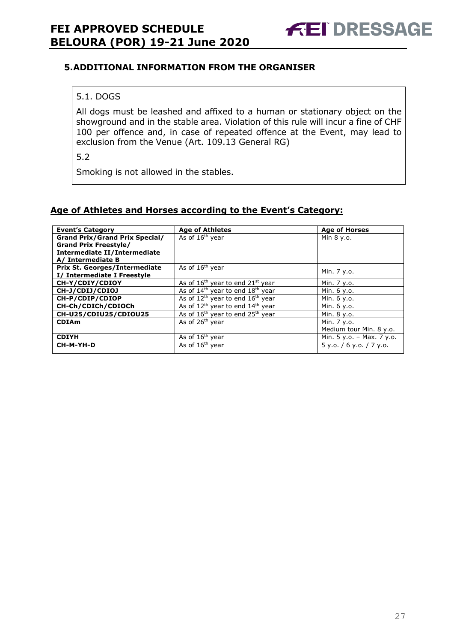#### **5.ADDITIONAL INFORMATION FROM THE ORGANISER**

#### 5.1. DOGS

All dogs must be leashed and affixed to a human or stationary object on the showground and in the stable area. Violation of this rule will incur a fine of CHF 100 per offence and, in case of repeated offence at the Event, may lead to exclusion from the Venue (Art. 109.13 General RG)

5.2

Smoking is not allowed in the stables.

#### **Age of Athletes and Horses according to the Event's Category:**

| <b>Event's Category</b>               | <b>Age of Athletes</b>                                   | <b>Age of Horses</b>      |
|---------------------------------------|----------------------------------------------------------|---------------------------|
| <b>Grand Prix/Grand Prix Special/</b> | As of 16 <sup>th</sup> year                              | Min 8 y.o.                |
| <b>Grand Prix Freestyle/</b>          |                                                          |                           |
| Intermediate II/Intermediate          |                                                          |                           |
| A/ Intermediate B                     |                                                          |                           |
| <b>Prix St. Georges/Intermediate</b>  | As of 16 <sup>th</sup> year                              |                           |
| I/ Intermediate I Freestyle           |                                                          | Min. 7 y.o.               |
| CH-Y/CDIY/CDIOY                       | As of $16th$ year to end $21st$ year                     | Min. 7 y.o.               |
| CH-J/CDIJ/CDIOJ                       | As of $14th$ year to end $18th$ year                     | Min. 6 y.o.               |
| CH-P/CDIP/CDIOP                       | As of $12th$ year to end $16th$ year                     | Min. 6 y.o.               |
| CH-Ch/CDICh/CDIOCh                    | As of 12 <sup>th</sup> year to end 14 <sup>th</sup> year | Min. 6 y.o.               |
| CH-U25/CDIU25/CDIOU25                 | As of $16th$ year to end $25th$ year                     | Min. 8 y.o.               |
| <b>CDIAm</b>                          | As of 26 <sup>th</sup> year                              | Min. 7 y.o.               |
|                                       |                                                          | Medium tour Min. 8 y.o.   |
| <b>CDIYH</b>                          | As of $16th$ year                                        | Min. 5 y.o. - Max. 7 y.o. |
| CH-M-YH-D                             | As of 16 <sup>th</sup> year                              | 5y.0.76y.0.77y.0.         |
|                                       |                                                          |                           |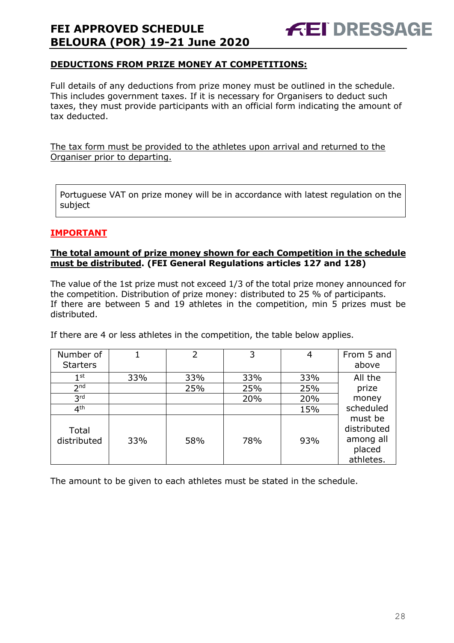

#### **DEDUCTIONS FROM PRIZE MONEY AT COMPETITIONS:**

Full details of any deductions from prize money must be outlined in the schedule. This includes government taxes. If it is necessary for Organisers to deduct such taxes, they must provide participants with an official form indicating the amount of tax deducted.

The tax form must be provided to the athletes upon arrival and returned to the Organiser prior to departing.

Portuguese VAT on prize money will be in accordance with latest regulation on the subject

#### **IMPORTANT**

#### **The total amount of prize money shown for each Competition in the schedule must be distributed. (FEI General Regulations articles 127 and 128)**

The value of the 1st prize must not exceed 1/3 of the total prize money announced for the competition. Distribution of prize money: distributed to 25 % of participants. If there are between 5 and 19 athletes in the competition, min 5 prizes must be distributed.

If there are 4 or less athletes in the competition, the table below applies.

| Number of            |     | 2   | 3   | 4   | From 5 and                                                 |
|----------------------|-----|-----|-----|-----|------------------------------------------------------------|
| <b>Starters</b>      |     |     |     |     | above                                                      |
| $1^{\rm st}$         | 33% | 33% | 33% | 33% | All the                                                    |
| 2 <sub>nd</sub>      |     | 25% | 25% | 25% | prize                                                      |
| 3 <sup>rd</sup>      |     |     | 20% | 20% | money                                                      |
| 4 <sup>th</sup>      |     |     |     | 15% | scheduled                                                  |
| Total<br>distributed | 33% | 58% | 78% | 93% | must be<br>distributed<br>among all<br>placed<br>athletes. |

The amount to be given to each athletes must be stated in the schedule.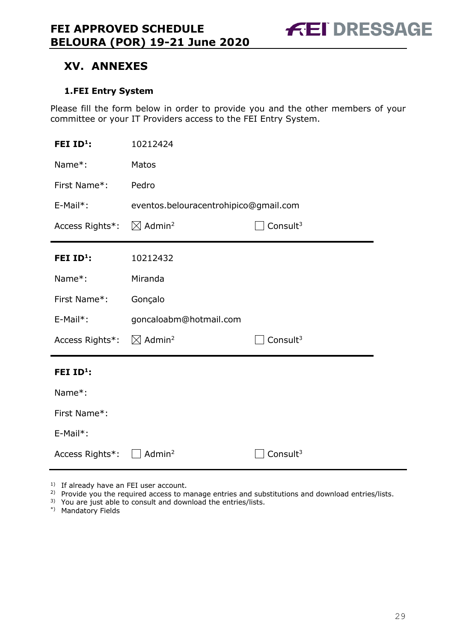**FEI DRESSAGE** 

# **XV. ANNEXES**

#### **1.FEI Entry System**

Please fill the form below in order to provide you and the other members of your committee or your IT Providers access to the FEI Entry System.

| FEI $ID^1$ :                                   | 10212424                                      |                      |  |
|------------------------------------------------|-----------------------------------------------|----------------------|--|
| Name*:                                         | Matos                                         |                      |  |
| First Name*:                                   | Pedro                                         |                      |  |
| E-Mail*:                                       | eventos.belouracentrohipico@gmail.com         |                      |  |
| Access Rights*:                                | $\boxtimes$ Admin <sup>2</sup><br>Consult $3$ |                      |  |
| FEI $ID^1$ :                                   | 10212432                                      |                      |  |
| Name*:                                         | Miranda                                       |                      |  |
| First Name*:                                   | Gonçalo                                       |                      |  |
| E-Mail*:                                       | goncaloabm@hotmail.com                        |                      |  |
| Access Rights*: $\boxtimes$ Admin <sup>2</sup> |                                               | Consult <sup>3</sup> |  |
| FEI $ID^1$ :                                   |                                               |                      |  |
| Name*:                                         |                                               |                      |  |
| First Name*:                                   |                                               |                      |  |
| E-Mail*:                                       |                                               |                      |  |
| Access Rights*:                                | Admin <sup>2</sup>                            | Consult <sup>3</sup> |  |

<sup>1)</sup> If already have an FEI user account.

<sup>2)</sup> Provide you the required access to manage entries and substitutions and download entries/lists.

<sup>3)</sup> You are just able to consult and download the entries/lists.

\*) Mandatory Fields